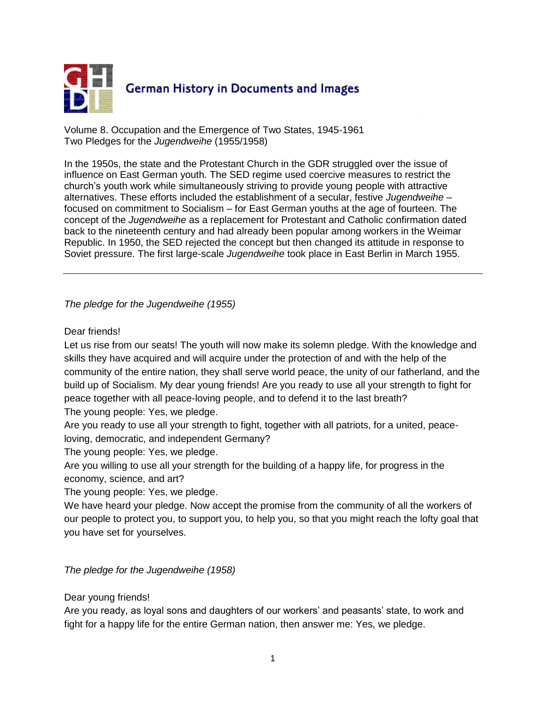

Volume 8. Occupation and the Emergence of Two States, 1945-1961 Two Pledges for the *Jugendweihe* (1955/1958)

In the 1950s, the state and the Protestant Church in the GDR struggled over the issue of influence on East German youth. The SED regime used coercive measures to restrict the church's youth work while simultaneously striving to provide young people with attractive alternatives. These efforts included the establishment of a secular, festive *Jugendweihe* – focused on commitment to Socialism – for East German youths at the age of fourteen. The concept of the *Jugendweihe* as a replacement for Protestant and Catholic confirmation dated back to the nineteenth century and had already been popular among workers in the Weimar Republic. In 1950, the SED rejected the concept but then changed its attitude in response to Soviet pressure. The first large-scale *Jugendweihe* took place in East Berlin in March 1955.

## *The pledge for the Jugendweihe (1955)*

## Dear friends!

Let us rise from our seats! The youth will now make its solemn pledge. With the knowledge and skills they have acquired and will acquire under the protection of and with the help of the community of the entire nation, they shall serve world peace, the unity of our fatherland, and the build up of Socialism. My dear young friends! Are you ready to use all your strength to fight for peace together with all peace-loving people, and to defend it to the last breath? The young people: Yes, we pledge.

Are you ready to use all your strength to fight, together with all patriots, for a united, peaceloving, democratic, and independent Germany?

The young people: Yes, we pledge.

Are you willing to use all your strength for the building of a happy life, for progress in the economy, science, and art?

The young people: Yes, we pledge.

We have heard your pledge. Now accept the promise from the community of all the workers of our people to protect you, to support you, to help you, so that you might reach the lofty goal that you have set for yourselves.

*The pledge for the Jugendweihe (1958)*

Dear young friends!

Are you ready, as loyal sons and daughters of our workers' and peasants' state, to work and fight for a happy life for the entire German nation, then answer me: Yes, we pledge.